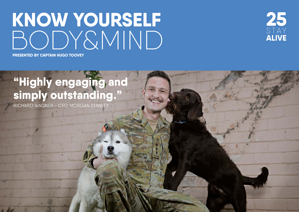# **KNOW YOURSELF** [BODY&MIND](https://www.25stayalive.com)



**PRESENTED BY CAPTAIN HUGO TOOVEY**

## **"Highly engaging and simply outstanding."**

RICHARD WAGNER - CEO, MORGAN STANLEY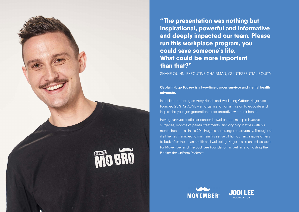

**''The presentation was nothing but inspirational, powerful and informative and deeply impacted our team. Please run this workplace program, you could save someone's life. What could be more important than that?"**

SHANE QUINN, EXECUTIVE CHAIRMAN, QUINTESSENTIAL EQUITY

#### **Captain Hugo Toovey is a two-time cancer survivor and mental health advocate.**

In addition to being an Army Health and Wellbeing Officer, Hugo also founded 25 STAY ALIVE - an organisation on a mission to educate and inspire the younger generation to be proactive with their health.

Having survived testicular cancer, bowel cancer, multiple invasive surgeries, months of painful treatments, and ongoing battles with his mental health - all in his 20s, Hugo is no stranger to adversity. Throughout it all he has managed to maintain his sense of humour and inspire others to look after their own health and wellbeing. Hugo is also an ambassador for Movember and the Jodi Lee Foundation as well as and hosting the Behind the Uniform Podcast.



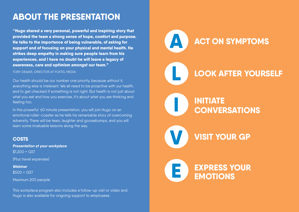## **ABOUT THE PRESENTATION**

**''Hugo shared a very personal, powerful and inspiring story that provided the team a strong sense of hope, comfort and purpose. He talks to the importance of being vulnerable, of asking for support and of focusing on your physical and mental health. He strikes deep empathy in making sure people learn from his experiences, and I have no doubt he will leave a legacy of awareness, care and optimism amongst our team."**

TOBY DEWAR, DIRECTOR AT FOXTEL MEDIA

Our health should be our number one priority, because without it, everything else is irrelevant. We all need to be proactive with our health, and to get checked if something is not right. But health is not just about what you eat and how you exercise, it's about what you are thinking and feeling too.

In this powerful 60 minute presentation, you will join Hugo on an emotional roller-coaster as he tells his remarkable story of overcoming adversity. There will be tears, laughter and goosebumps, and you will learn some invaluable lessons along the way.

#### **COSTS**

*Presentation at your workplace* \$1,200 + GST (Plus travel expenses) *Webinar*

\$500 + GST

Maximum 200 people

This workplace program also includes a follow-up visit or video and Hugo is also available for ongoing support to employees.